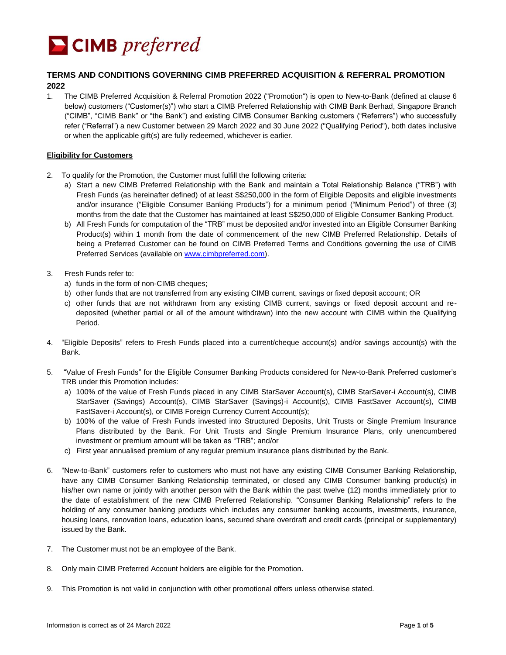

# **TERMS AND CONDITIONS GOVERNING CIMB PREFERRED ACQUISITION & REFERRAL PROMOTION 2022**

1. The CIMB Preferred Acquisition & Referral Promotion 2022 ("Promotion") is open to New-to-Bank (defined at clause 6 below) customers ("Customer(s)") who start a CIMB Preferred Relationship with CIMB Bank Berhad, Singapore Branch ("CIMB", "CIMB Bank" or "the Bank") and existing CIMB Consumer Banking customers ("Referrers") who successfully refer ("Referral") a new Customer between 29 March 2022 and 30 June 2022 ("Qualifying Period"), both dates inclusive or when the applicable gift(s) are fully redeemed, whichever is earlier.

## **Eligibility for Customers**

- 2. To qualify for the Promotion, the Customer must fulfill the following criteria:
	- a) Start a new CIMB Preferred Relationship with the Bank and maintain a Total Relationship Balance ("TRB") with Fresh Funds (as hereinafter defined) of at least S\$250,000 in the form of Eligible Deposits and eligible investments and/or insurance ("Eligible Consumer Banking Products") for a minimum period ("Minimum Period") of three (3) months from the date that the Customer has maintained at least S\$250,000 of Eligible Consumer Banking Product.
	- b) All Fresh Funds for computation of the "TRB" must be deposited and/or invested into an Eligible Consumer Banking Product(s) within 1 month from the date of commencement of the new CIMB Preferred Relationship. Details of being a Preferred Customer can be found on CIMB Preferred Terms and Conditions governing the use of CIMB Preferred Services (available on [www.cimbpreferred.com\)](http://www.cimbpreferred.com/).
- 3. Fresh Funds refer to:
	- a) funds in the form of non-CIMB cheques;
	- b) other funds that are not transferred from any existing CIMB current, savings or fixed deposit account; OR
	- c) other funds that are not withdrawn from any existing CIMB current, savings or fixed deposit account and redeposited (whether partial or all of the amount withdrawn) into the new account with CIMB within the Qualifying Period.
- 4. "Eligible Deposits" refers to Fresh Funds placed into a current/cheque account(s) and/or savings account(s) with the Bank.
- 5. "Value of Fresh Funds" for the Eligible Consumer Banking Products considered for New-to-Bank Preferred customer's TRB under this Promotion includes:
	- a) 100% of the value of Fresh Funds placed in any CIMB StarSaver Account(s), CIMB StarSaver-i Account(s), CIMB StarSaver (Savings) Account(s), CIMB StarSaver (Savings)-i Account(s), CIMB FastSaver Account(s), CIMB FastSaver-i Account(s), or CIMB Foreign Currency Current Account(s);
	- b) 100% of the value of Fresh Funds invested into Structured Deposits, Unit Trusts or Single Premium Insurance Plans distributed by the Bank. For Unit Trusts and Single Premium Insurance Plans, only unencumbered investment or premium amount will be taken as "TRB"; and/or
	- c) First year annualised premium of any regular premium insurance plans distributed by the Bank.
- 6. "New-to-Bank" customers refer to customers who must not have any existing CIMB Consumer Banking Relationship, have any CIMB Consumer Banking Relationship terminated, or closed any CIMB Consumer banking product(s) in his/her own name or jointly with another person with the Bank within the past twelve (12) months immediately prior to the date of establishment of the new CIMB Preferred Relationship. "Consumer Banking Relationship" refers to the holding of any consumer banking products which includes any consumer banking accounts, investments, insurance, housing loans, renovation loans, education loans, secured share overdraft and credit cards (principal or supplementary) issued by the Bank.
- 7. The Customer must not be an employee of the Bank.
- 8. Only main CIMB Preferred Account holders are eligible for the Promotion.
- 9. This Promotion is not valid in conjunction with other promotional offers unless otherwise stated.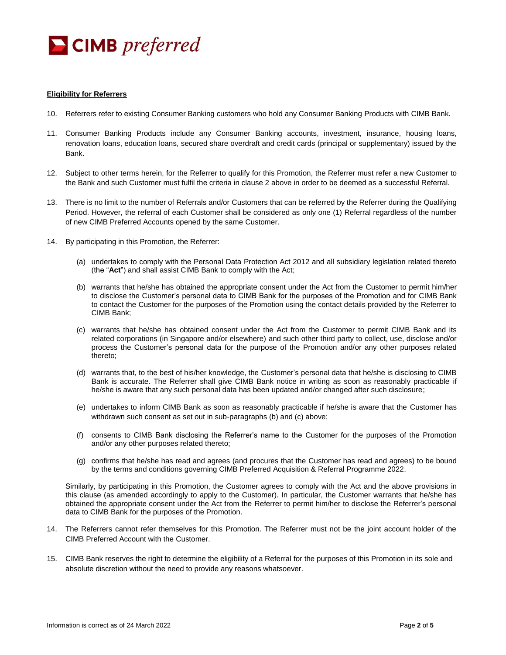

#### **Eligibility for Referrers**

- 10. Referrers refer to existing Consumer Banking customers who hold any Consumer Banking Products with CIMB Bank.
- 11. Consumer Banking Products include any Consumer Banking accounts, investment, insurance, housing loans, renovation loans, education loans, secured share overdraft and credit cards (principal or supplementary) issued by the Bank.
- 12. Subject to other terms herein, for the Referrer to qualify for this Promotion, the Referrer must refer a new Customer to the Bank and such Customer must fulfil the criteria in clause 2 above in order to be deemed as a successful Referral.
- 13. There is no limit to the number of Referrals and/or Customers that can be referred by the Referrer during the Qualifying Period. However, the referral of each Customer shall be considered as only one (1) Referral regardless of the number of new CIMB Preferred Accounts opened by the same Customer.
- 14. By participating in this Promotion, the Referrer:
	- (a) undertakes to comply with the Personal Data Protection Act 2012 and all subsidiary legislation related thereto (the "**Act**") and shall assist CIMB Bank to comply with the Act;
	- (b) warrants that he/she has obtained the appropriate consent under the Act from the Customer to permit him/her to disclose the Customer's personal data to CIMB Bank for the purposes of the Promotion and for CIMB Bank to contact the Customer for the purposes of the Promotion using the contact details provided by the Referrer to CIMB Bank;
	- (c) warrants that he/she has obtained consent under the Act from the Customer to permit CIMB Bank and its related corporations (in Singapore and/or elsewhere) and such other third party to collect, use, disclose and/or process the Customer's personal data for the purpose of the Promotion and/or any other purposes related thereto;
	- (d) warrants that, to the best of his/her knowledge, the Customer's personal data that he/she is disclosing to CIMB Bank is accurate. The Referrer shall give CIMB Bank notice in writing as soon as reasonably practicable if he/she is aware that any such personal data has been updated and/or changed after such disclosure;
	- (e) undertakes to inform CIMB Bank as soon as reasonably practicable if he/she is aware that the Customer has withdrawn such consent as set out in sub-paragraphs (b) and (c) above;
	- (f) consents to CIMB Bank disclosing the Referrer's name to the Customer for the purposes of the Promotion and/or any other purposes related thereto;
	- (g) confirms that he/she has read and agrees (and procures that the Customer has read and agrees) to be bound by the terms and conditions governing CIMB Preferred Acquisition & Referral Programme 2022.

Similarly, by participating in this Promotion, the Customer agrees to comply with the Act and the above provisions in this clause (as amended accordingly to apply to the Customer). In particular, the Customer warrants that he/she has obtained the appropriate consent under the Act from the Referrer to permit him/her to disclose the Referrer's personal data to CIMB Bank for the purposes of the Promotion.

- 14. The Referrers cannot refer themselves for this Promotion. The Referrer must not be the joint account holder of the CIMB Preferred Account with the Customer.
- 15. CIMB Bank reserves the right to determine the eligibility of a Referral for the purposes of this Promotion in its sole and absolute discretion without the need to provide any reasons whatsoever.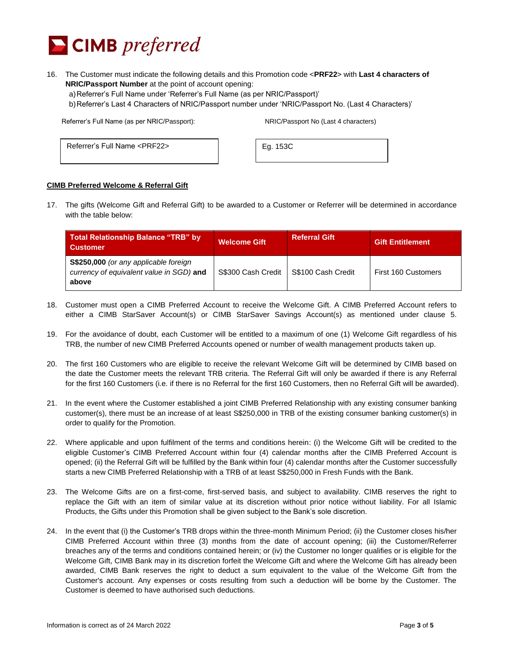

16. The Customer must indicate the following details and this Promotion code <**PRF22**> with **Last 4 characters of NRIC/Passport Number** at the point of account opening:

a)Referrer's Full Name under 'Referrer's Full Name (as per NRIC/Passport)'

b)Referrer's Last 4 Characters of NRIC/Passport number under 'NRIC/Passport No. (Last 4 Characters)'

Referrer's Full Name (as per NRIC/Passport): NRIC/Passport No (Last 4 characters)

Referrer's Full Name <PRF22> | Eg. 153C

#### **CIMB Preferred Welcome & Referral Gift**

17. The gifts (Welcome Gift and Referral Gift) to be awarded to a Customer or Referrer will be determined in accordance with the table below:

| Total Relationship Balance "TRB" by<br><b>Customer</b>                                     | <b>Welcome Gift</b> | <b>Referral Gift</b> | <b>Gift Entitlement</b> |
|--------------------------------------------------------------------------------------------|---------------------|----------------------|-------------------------|
| S\$250,000 (or any applicable foreign<br>currency of equivalent value in SGD) and<br>above | S\$300 Cash Credit  | S\$100 Cash Credit   | First 160 Customers     |

- 18. Customer must open a CIMB Preferred Account to receive the Welcome Gift. A CIMB Preferred Account refers to either a CIMB StarSaver Account(s) or CIMB StarSaver Savings Account(s) as mentioned under clause 5.
- 19. For the avoidance of doubt, each Customer will be entitled to a maximum of one (1) Welcome Gift regardless of his TRB, the number of new CIMB Preferred Accounts opened or number of wealth management products taken up.
- 20. The first 160 Customers who are eligible to receive the relevant Welcome Gift will be determined by CIMB based on the date the Customer meets the relevant TRB criteria. The Referral Gift will only be awarded if there is any Referral for the first 160 Customers (i.e. if there is no Referral for the first 160 Customers, then no Referral Gift will be awarded).
- 21. In the event where the Customer established a joint CIMB Preferred Relationship with any existing consumer banking customer(s), there must be an increase of at least S\$250,000 in TRB of the existing consumer banking customer(s) in order to qualify for the Promotion.
- 22. Where applicable and upon fulfilment of the terms and conditions herein: (i) the Welcome Gift will be credited to the eligible Customer's CIMB Preferred Account within four (4) calendar months after the CIMB Preferred Account is opened; (ii) the Referral Gift will be fulfilled by the Bank within four (4) calendar months after the Customer successfully starts a new CIMB Preferred Relationship with a TRB of at least S\$250,000 in Fresh Funds with the Bank.
- 23. The Welcome Gifts are on a first-come, first-served basis, and subject to availability. CIMB reserves the right to replace the Gift with an item of similar value at its discretion without prior notice without liability. For all Islamic Products, the Gifts under this Promotion shall be given subject to the Bank's sole discretion.
- 24. In the event that (i) the Customer's TRB drops within the three-month Minimum Period; (ii) the Customer closes his/her CIMB Preferred Account within three (3) months from the date of account opening; (iii) the Customer/Referrer breaches any of the terms and conditions contained herein; or (iv) the Customer no longer qualifies or is eligible for the Welcome Gift, CIMB Bank may in its discretion forfeit the Welcome Gift and where the Welcome Gift has already been awarded, CIMB Bank reserves the right to deduct a sum equivalent to the value of the Welcome Gift from the Customer's account. Any expenses or costs resulting from such a deduction will be borne by the Customer. The Customer is deemed to have authorised such deductions.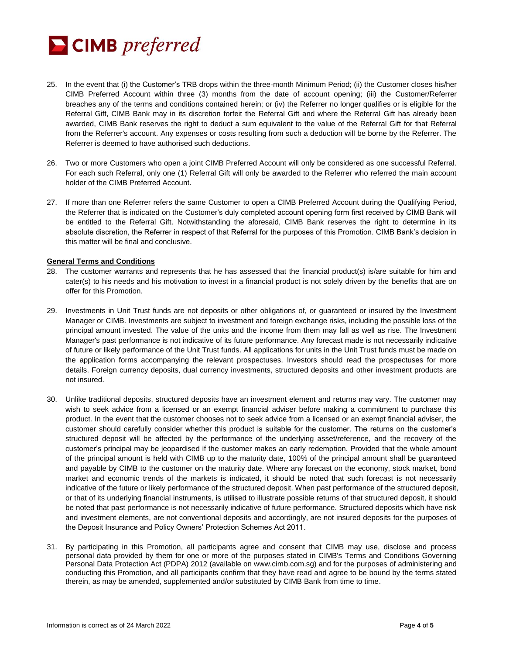

- 25. In the event that (i) the Customer's TRB drops within the three-month Minimum Period; (ii) the Customer closes his/her CIMB Preferred Account within three (3) months from the date of account opening; (iii) the Customer/Referrer breaches any of the terms and conditions contained herein; or (iv) the Referrer no longer qualifies or is eligible for the Referral Gift, CIMB Bank may in its discretion forfeit the Referral Gift and where the Referral Gift has already been awarded, CIMB Bank reserves the right to deduct a sum equivalent to the value of the Referral Gift for that Referral from the Referrer's account. Any expenses or costs resulting from such a deduction will be borne by the Referrer. The Referrer is deemed to have authorised such deductions.
- 26. Two or more Customers who open a joint CIMB Preferred Account will only be considered as one successful Referral. For each such Referral, only one (1) Referral Gift will only be awarded to the Referrer who referred the main account holder of the CIMB Preferred Account.
- 27. If more than one Referrer refers the same Customer to open a CIMB Preferred Account during the Qualifying Period, the Referrer that is indicated on the Customer's duly completed account opening form first received by CIMB Bank will be entitled to the Referral Gift. Notwithstanding the aforesaid, CIMB Bank reserves the right to determine in its absolute discretion, the Referrer in respect of that Referral for the purposes of this Promotion. CIMB Bank's decision in this matter will be final and conclusive.

#### **General Terms and Conditions**

- 28. The customer warrants and represents that he has assessed that the financial product(s) is/are suitable for him and cater(s) to his needs and his motivation to invest in a financial product is not solely driven by the benefits that are on offer for this Promotion.
- 29. Investments in Unit Trust funds are not deposits or other obligations of, or guaranteed or insured by the Investment Manager or CIMB. Investments are subject to investment and foreign exchange risks, including the possible loss of the principal amount invested. The value of the units and the income from them may fall as well as rise. The Investment Manager's past performance is not indicative of its future performance. Any forecast made is not necessarily indicative of future or likely performance of the Unit Trust funds. All applications for units in the Unit Trust funds must be made on the application forms accompanying the relevant prospectuses. Investors should read the prospectuses for more details. Foreign currency deposits, dual currency investments, structured deposits and other investment products are not insured.
- 30. Unlike traditional deposits, structured deposits have an investment element and returns may vary. The customer may wish to seek advice from a licensed or an exempt financial adviser before making a commitment to purchase this product. In the event that the customer chooses not to seek advice from a licensed or an exempt financial adviser, the customer should carefully consider whether this product is suitable for the customer. The returns on the customer's structured deposit will be affected by the performance of the underlying asset/reference, and the recovery of the customer's principal may be jeopardised if the customer makes an early redemption. Provided that the whole amount of the principal amount is held with CIMB up to the maturity date, 100% of the principal amount shall be guaranteed and payable by CIMB to the customer on the maturity date. Where any forecast on the economy, stock market, bond market and economic trends of the markets is indicated, it should be noted that such forecast is not necessarily indicative of the future or likely performance of the structured deposit. When past performance of the structured deposit, or that of its underlying financial instruments, is utilised to illustrate possible returns of that structured deposit, it should be noted that past performance is not necessarily indicative of future performance. Structured deposits which have risk and investment elements, are not conventional deposits and accordingly, are not insured deposits for the purposes of the Deposit Insurance and Policy Owners' Protection Schemes Act 2011.
- 31. By participating in this Promotion, all participants agree and consent that CIMB may use, disclose and process personal data provided by them for one or more of the purposes stated in CIMB's Terms and Conditions Governing Personal Data Protection Act (PDPA) 2012 (available on www.cimb.com.sg) and for the purposes of administering and conducting this Promotion, and all participants confirm that they have read and agree to be bound by the terms stated therein, as may be amended, supplemented and/or substituted by CIMB Bank from time to time.